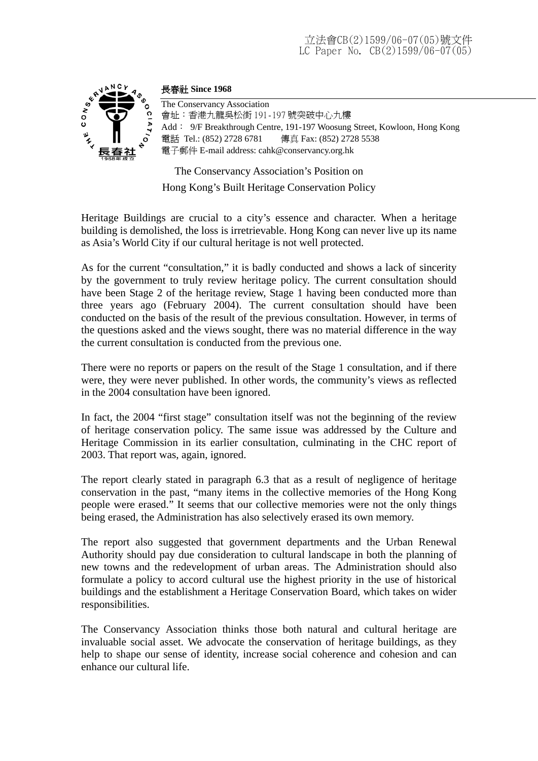# 立法會CB(2)1599/06-07(05)號文件 LC Paper No. CB(2)1599/06-07(05)



#### 長春社 **Since 1968**

The Conservancy Association 會址:香港九龍吳松街 191-197 號突破中心九樓 Add: 9/F Breakthrough Centre, 191-197 Woosung Street, Kowloon, Hong Kong 電話 Tel.: (852) 2728 6781 傳真 Fax: (852) 2728 5538 電子郵件 E-mail address: cahk@conservancy.org.hk

The Conservancy Association's Position on

Hong Kong's Built Heritage Conservation Policy

Heritage Buildings are crucial to a city's essence and character. When a heritage building is demolished, the loss is irretrievable. Hong Kong can never live up its name as Asia's World City if our cultural heritage is not well protected.

As for the current "consultation," it is badly conducted and shows a lack of sincerity by the government to truly review heritage policy. The current consultation should have been Stage 2 of the heritage review, Stage 1 having been conducted more than three years ago (February 2004). The current consultation should have been conducted on the basis of the result of the previous consultation. However, in terms of the questions asked and the views sought, there was no material difference in the way the current consultation is conducted from the previous one.

There were no reports or papers on the result of the Stage 1 consultation, and if there were, they were never published. In other words, the community's views as reflected in the 2004 consultation have been ignored.

In fact, the 2004 "first stage" consultation itself was not the beginning of the review of heritage conservation policy. The same issue was addressed by the Culture and Heritage Commission in its earlier consultation, culminating in the CHC report of 2003. That report was, again, ignored.

The report clearly stated in paragraph 6.3 that as a result of negligence of heritage conservation in the past, "many items in the collective memories of the Hong Kong people were erased." It seems that our collective memories were not the only things being erased, the Administration has also selectively erased its own memory.

The report also suggested that government departments and the Urban Renewal Authority should pay due consideration to cultural landscape in both the planning of new towns and the redevelopment of urban areas. The Administration should also formulate a policy to accord cultural use the highest priority in the use of historical buildings and the establishment a Heritage Conservation Board, which takes on wider responsibilities.

The Conservancy Association thinks those both natural and cultural heritage are invaluable social asset. We advocate the conservation of heritage buildings, as they help to shape our sense of identity, increase social coherence and cohesion and can enhance our cultural life.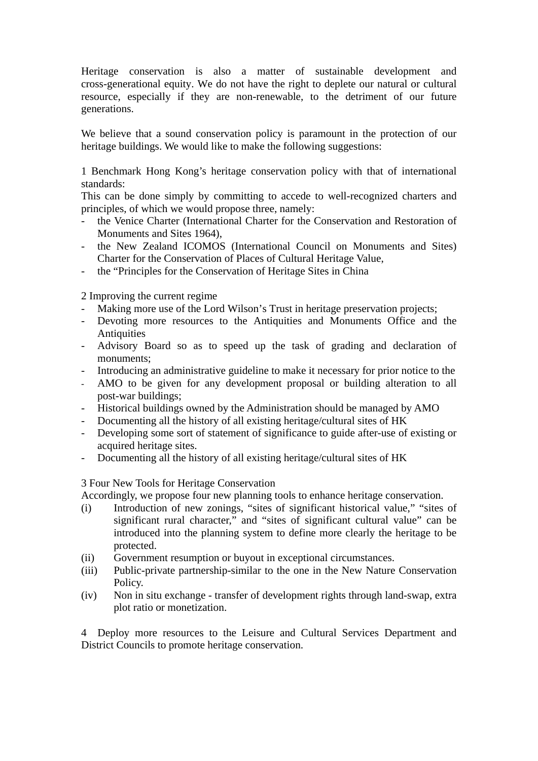Heritage conservation is also a matter of sustainable development and cross-generational equity. We do not have the right to deplete our natural or cultural resource, especially if they are non-renewable, to the detriment of our future generations.

We believe that a sound conservation policy is paramount in the protection of our heritage buildings. We would like to make the following suggestions:

1 Benchmark Hong Kong's heritage conservation policy with that of international standards:

This can be done simply by committing to accede to well-recognized charters and principles, of which we would propose three, namely:

- the Venice Charter (International Charter for the Conservation and Restoration of Monuments and Sites 1964),
- the New Zealand ICOMOS (International Council on Monuments and Sites) Charter for the Conservation of Places of Cultural Heritage Value,
- the "Principles for the Conservation of Heritage Sites in China

2 Improving the current regime

- Making more use of the Lord Wilson's Trust in heritage preservation projects;
- Devoting more resources to the Antiquities and Monuments Office and the **Antiquities**
- Advisory Board so as to speed up the task of grading and declaration of monuments;
- Introducing an administrative guideline to make it necessary for prior notice to the
- AMO to be given for any development proposal or building alteration to all post-war buildings;
- Historical buildings owned by the Administration should be managed by AMO
- Documenting all the history of all existing heritage/cultural sites of HK
- Developing some sort of statement of significance to guide after-use of existing or acquired heritage sites.
- Documenting all the history of all existing heritage/cultural sites of HK

#### 3 Four New Tools for Heritage Conservation

Accordingly, we propose four new planning tools to enhance heritage conservation.

- (i) Introduction of new zonings, "sites of significant historical value," "sites of significant rural character," and "sites of significant cultural value" can be introduced into the planning system to define more clearly the heritage to be protected.
- (ii) Government resumption or buyout in exceptional circumstances.
- (iii) Public-private partnership-similar to the one in the New Nature Conservation Policy.
- (iv) Non in situ exchange transfer of development rights through land-swap, extra plot ratio or monetization.

4 Deploy more resources to the Leisure and Cultural Services Department and District Councils to promote heritage conservation.